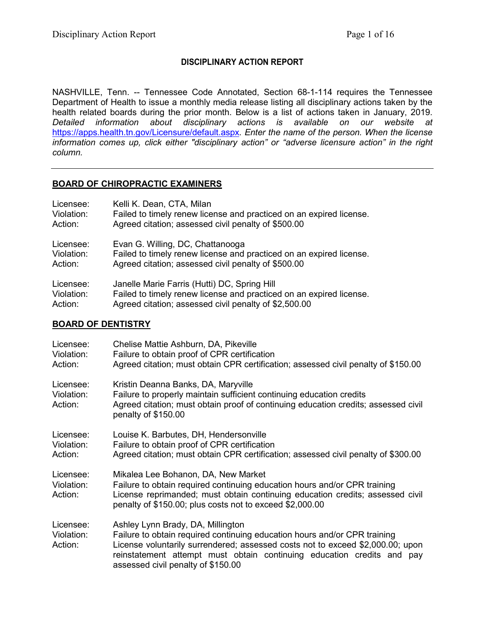## **DISCIPLINARY ACTION REPORT**

NASHVILLE, Tenn. -- Tennessee Code Annotated, Section 68-1-114 requires the Tennessee Department of Health to issue a monthly media release listing all disciplinary actions taken by the health related boards during the prior month. Below is a list of actions taken in January, 2019. *Detailed information about disciplinary actions is available on our website at*  <https://apps.health.tn.gov/Licensure/default.aspx>*. Enter the name of the person. When the license information comes up, click either "disciplinary action" or "adverse licensure action" in the right column.*

### **BOARD OF CHIROPRACTIC EXAMINERS**

| Licensee:  | Kelli K. Dean, CTA, Milan                                           |
|------------|---------------------------------------------------------------------|
| Violation: | Failed to timely renew license and practiced on an expired license. |
| Action:    | Agreed citation; assessed civil penalty of \$500.00                 |
| Licensee:  | Evan G. Willing, DC, Chattanooga                                    |
| Violation: | Failed to timely renew license and practiced on an expired license. |
| Action:    | Agreed citation; assessed civil penalty of \$500.00                 |
| Licensee:  | Janelle Marie Farris (Hutti) DC, Spring Hill                        |
| Violation: | Failed to timely renew license and practiced on an expired license. |
| Action:    | Agreed citation; assessed civil penalty of \$2,500.00               |

### **BOARD OF DENTISTRY**

| Licensee:<br>Violation:<br>Action: | Chelise Mattie Ashburn, DA, Pikeville<br>Failure to obtain proof of CPR certification<br>Agreed citation; must obtain CPR certification; assessed civil penalty of \$150.00                                                                                                                                      |
|------------------------------------|------------------------------------------------------------------------------------------------------------------------------------------------------------------------------------------------------------------------------------------------------------------------------------------------------------------|
| Licensee:<br>Violation:<br>Action: | Kristin Deanna Banks, DA, Maryville<br>Failure to properly maintain sufficient continuing education credits<br>Agreed citation; must obtain proof of continuing education credits; assessed civil<br>penalty of \$150.00                                                                                         |
| Licensee:<br>Violation:<br>Action: | Louise K. Barbutes, DH, Hendersonville<br>Failure to obtain proof of CPR certification<br>Agreed citation; must obtain CPR certification; assessed civil penalty of \$300.00                                                                                                                                     |
| Licensee:<br>Violation:<br>Action: | Mikalea Lee Bohanon, DA, New Market<br>Failure to obtain required continuing education hours and/or CPR training<br>License reprimanded; must obtain continuing education credits; assessed civil<br>penalty of \$150.00; plus costs not to exceed \$2,000.00                                                    |
| Licensee:<br>Violation:<br>Action: | Ashley Lynn Brady, DA, Millington<br>Failure to obtain required continuing education hours and/or CPR training<br>License voluntarily surrendered; assessed costs not to exceed \$2,000.00; upon<br>reinstatement attempt must obtain continuing education credits and pay<br>assessed civil penalty of \$150.00 |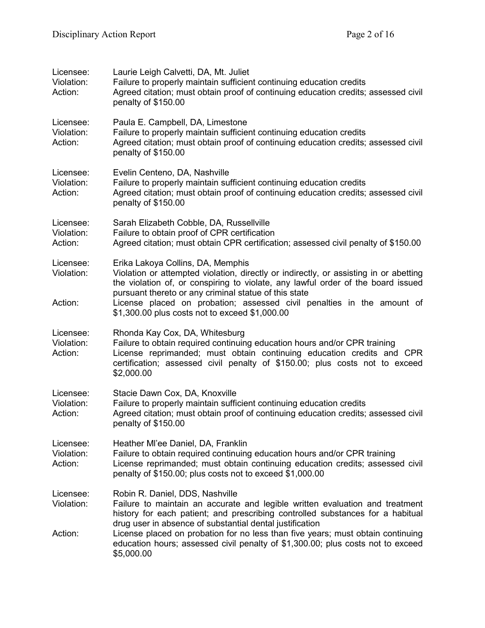| Licensee:<br>Violation:<br>Action: | Laurie Leigh Calvetti, DA, Mt. Juliet<br>Failure to properly maintain sufficient continuing education credits<br>Agreed citation; must obtain proof of continuing education credits; assessed civil<br>penalty of \$150.00                                                                                                                                                                                                                        |
|------------------------------------|---------------------------------------------------------------------------------------------------------------------------------------------------------------------------------------------------------------------------------------------------------------------------------------------------------------------------------------------------------------------------------------------------------------------------------------------------|
| Licensee:<br>Violation:<br>Action: | Paula E. Campbell, DA, Limestone<br>Failure to properly maintain sufficient continuing education credits<br>Agreed citation; must obtain proof of continuing education credits; assessed civil<br>penalty of \$150.00                                                                                                                                                                                                                             |
| Licensee:<br>Violation:<br>Action: | Evelin Centeno, DA, Nashville<br>Failure to properly maintain sufficient continuing education credits<br>Agreed citation; must obtain proof of continuing education credits; assessed civil<br>penalty of \$150.00                                                                                                                                                                                                                                |
| Licensee:<br>Violation:<br>Action: | Sarah Elizabeth Cobble, DA, Russellville<br>Failure to obtain proof of CPR certification<br>Agreed citation; must obtain CPR certification; assessed civil penalty of \$150.00                                                                                                                                                                                                                                                                    |
| Licensee:<br>Violation:<br>Action: | Erika Lakoya Collins, DA, Memphis<br>Violation or attempted violation, directly or indirectly, or assisting in or abetting<br>the violation of, or conspiring to violate, any lawful order of the board issued<br>pursuant thereto or any criminal statue of this state<br>License placed on probation; assessed civil penalties in the amount of<br>\$1,300.00 plus costs not to exceed \$1,000.00                                               |
| Licensee:<br>Violation:<br>Action: | Rhonda Kay Cox, DA, Whitesburg<br>Failure to obtain required continuing education hours and/or CPR training<br>License reprimanded; must obtain continuing education credits and CPR<br>certification; assessed civil penalty of \$150.00; plus costs not to exceed<br>\$2,000.00                                                                                                                                                                 |
| Licensee:<br>Violation:<br>Action: | Stacie Dawn Cox, DA, Knoxville<br>Failure to properly maintain sufficient continuing education credits<br>Agreed citation; must obtain proof of continuing education credits; assessed civil<br>penalty of \$150.00                                                                                                                                                                                                                               |
| Licensee:<br>Violation:<br>Action: | Heather MI'ee Daniel, DA, Franklin<br>Failure to obtain required continuing education hours and/or CPR training<br>License reprimanded; must obtain continuing education credits; assessed civil<br>penalty of \$150.00; plus costs not to exceed \$1,000.00                                                                                                                                                                                      |
| Licensee:<br>Violation:<br>Action: | Robin R. Daniel, DDS, Nashville<br>Failure to maintain an accurate and legible written evaluation and treatment<br>history for each patient; and prescribing controlled substances for a habitual<br>drug user in absence of substantial dental justification<br>License placed on probation for no less than five years; must obtain continuing<br>education hours; assessed civil penalty of \$1,300.00; plus costs not to exceed<br>\$5,000.00 |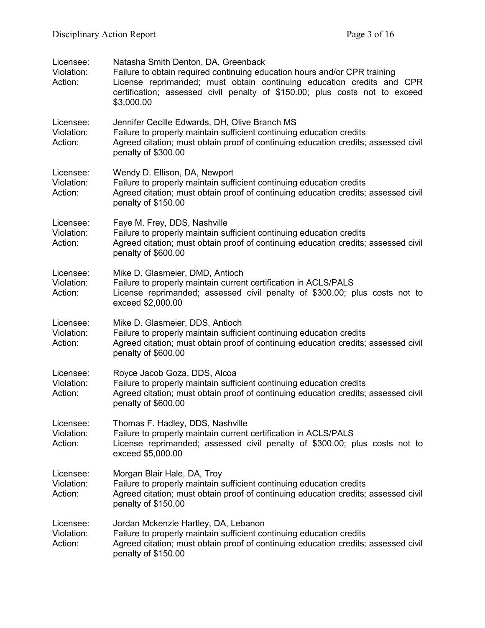| Licensee:<br>Violation:<br>Action: | Natasha Smith Denton, DA, Greenback<br>Failure to obtain required continuing education hours and/or CPR training<br>License reprimanded; must obtain continuing education credits and CPR<br>certification; assessed civil penalty of \$150.00; plus costs not to exceed<br>\$3,000.00 |
|------------------------------------|----------------------------------------------------------------------------------------------------------------------------------------------------------------------------------------------------------------------------------------------------------------------------------------|
| Licensee:<br>Violation:<br>Action: | Jennifer Cecille Edwards, DH, Olive Branch MS<br>Failure to properly maintain sufficient continuing education credits<br>Agreed citation; must obtain proof of continuing education credits; assessed civil<br>penalty of \$300.00                                                     |
| Licensee:<br>Violation:<br>Action: | Wendy D. Ellison, DA, Newport<br>Failure to properly maintain sufficient continuing education credits<br>Agreed citation; must obtain proof of continuing education credits; assessed civil<br>penalty of \$150.00                                                                     |
| Licensee:<br>Violation:<br>Action: | Faye M. Frey, DDS, Nashville<br>Failure to properly maintain sufficient continuing education credits<br>Agreed citation; must obtain proof of continuing education credits; assessed civil<br>penalty of \$600.00                                                                      |
| Licensee:<br>Violation:<br>Action: | Mike D. Glasmeier, DMD, Antioch<br>Failure to properly maintain current certification in ACLS/PALS<br>License reprimanded; assessed civil penalty of \$300.00; plus costs not to<br>exceed \$2,000.00                                                                                  |
| Licensee:<br>Violation:<br>Action: | Mike D. Glasmeier, DDS, Antioch<br>Failure to properly maintain sufficient continuing education credits<br>Agreed citation; must obtain proof of continuing education credits; assessed civil<br>penalty of \$600.00                                                                   |
| Licensee:<br>Violation:<br>Action: | Royce Jacob Goza, DDS, Alcoa<br>Failure to properly maintain sufficient continuing education credits<br>Agreed citation; must obtain proof of continuing education credits; assessed civil<br>penalty of \$600.00                                                                      |
| Licensee:<br>Violation:<br>Action: | Thomas F. Hadley, DDS, Nashville<br>Failure to properly maintain current certification in ACLS/PALS<br>License reprimanded; assessed civil penalty of \$300.00; plus costs not to<br>exceed \$5,000.00                                                                                 |
| Licensee:<br>Violation:<br>Action: | Morgan Blair Hale, DA, Troy<br>Failure to properly maintain sufficient continuing education credits<br>Agreed citation; must obtain proof of continuing education credits; assessed civil<br>penalty of \$150.00                                                                       |
| Licensee:<br>Violation:<br>Action: | Jordan Mckenzie Hartley, DA, Lebanon<br>Failure to properly maintain sufficient continuing education credits<br>Agreed citation; must obtain proof of continuing education credits; assessed civil<br>penalty of \$150.00                                                              |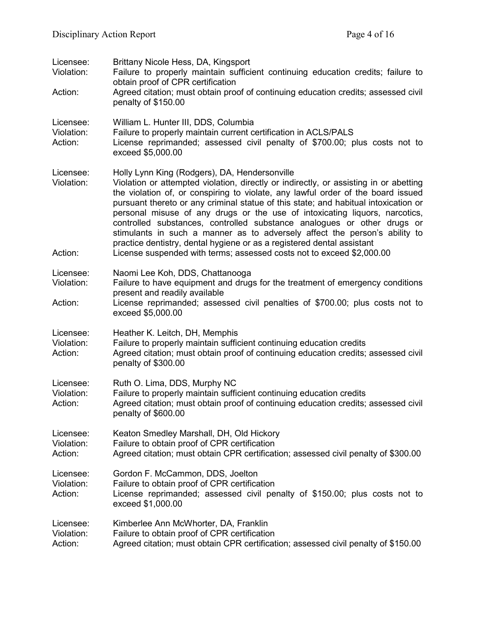| Licensee:<br>Violation:            | Brittany Nicole Hess, DA, Kingsport<br>Failure to properly maintain sufficient continuing education credits; failure to<br>obtain proof of CPR certification                                                                                                                                                                                                                                                                                                                                                                                                                                                                                                                                                 |
|------------------------------------|--------------------------------------------------------------------------------------------------------------------------------------------------------------------------------------------------------------------------------------------------------------------------------------------------------------------------------------------------------------------------------------------------------------------------------------------------------------------------------------------------------------------------------------------------------------------------------------------------------------------------------------------------------------------------------------------------------------|
| Action:                            | Agreed citation; must obtain proof of continuing education credits; assessed civil<br>penalty of \$150.00                                                                                                                                                                                                                                                                                                                                                                                                                                                                                                                                                                                                    |
| Licensee:<br>Violation:<br>Action: | William L. Hunter III, DDS, Columbia<br>Failure to properly maintain current certification in ACLS/PALS<br>License reprimanded; assessed civil penalty of \$700.00; plus costs not to<br>exceed \$5,000.00                                                                                                                                                                                                                                                                                                                                                                                                                                                                                                   |
| Licensee:<br>Violation:<br>Action: | Holly Lynn King (Rodgers), DA, Hendersonville<br>Violation or attempted violation, directly or indirectly, or assisting in or abetting<br>the violation of, or conspiring to violate, any lawful order of the board issued<br>pursuant thereto or any criminal statue of this state; and habitual intoxication or<br>personal misuse of any drugs or the use of intoxicating liquors, narcotics,<br>controlled substances, controlled substance analogues or other drugs or<br>stimulants in such a manner as to adversely affect the person's ability to<br>practice dentistry, dental hygiene or as a registered dental assistant<br>License suspended with terms; assessed costs not to exceed \$2,000.00 |
| Licensee:<br>Violation:            | Naomi Lee Koh, DDS, Chattanooga<br>Failure to have equipment and drugs for the treatment of emergency conditions<br>present and readily available                                                                                                                                                                                                                                                                                                                                                                                                                                                                                                                                                            |
| Action:                            | License reprimanded; assessed civil penalties of \$700.00; plus costs not to<br>exceed \$5,000.00                                                                                                                                                                                                                                                                                                                                                                                                                                                                                                                                                                                                            |
| Licensee:<br>Violation:<br>Action: | Heather K. Leitch, DH, Memphis<br>Failure to properly maintain sufficient continuing education credits<br>Agreed citation; must obtain proof of continuing education credits; assessed civil<br>penalty of \$300.00                                                                                                                                                                                                                                                                                                                                                                                                                                                                                          |
| Licensee:<br>Violation:<br>Action: | Ruth O. Lima, DDS, Murphy NC<br>Failure to properly maintain sufficient continuing education credits<br>Agreed citation; must obtain proof of continuing education credits; assessed civil<br>penalty of \$600.00                                                                                                                                                                                                                                                                                                                                                                                                                                                                                            |
| Licensee:<br>Violation:<br>Action: | Keaton Smedley Marshall, DH, Old Hickory<br>Failure to obtain proof of CPR certification<br>Agreed citation; must obtain CPR certification; assessed civil penalty of \$300.00                                                                                                                                                                                                                                                                                                                                                                                                                                                                                                                               |
| Licensee:<br>Violation:<br>Action: | Gordon F. McCammon, DDS, Joelton<br>Failure to obtain proof of CPR certification<br>License reprimanded; assessed civil penalty of \$150.00; plus costs not to<br>exceed \$1,000.00                                                                                                                                                                                                                                                                                                                                                                                                                                                                                                                          |
| Licensee:<br>Violation:<br>Action: | Kimberlee Ann McWhorter, DA, Franklin<br>Failure to obtain proof of CPR certification<br>Agreed citation; must obtain CPR certification; assessed civil penalty of \$150.00                                                                                                                                                                                                                                                                                                                                                                                                                                                                                                                                  |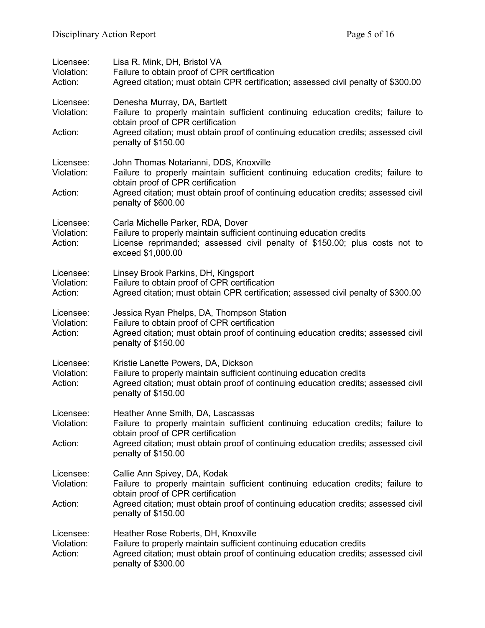| Licensee:<br>Violation:<br>Action: | Lisa R. Mink, DH, Bristol VA<br>Failure to obtain proof of CPR certification<br>Agreed citation; must obtain CPR certification; assessed civil penalty of \$300.00                                                       |
|------------------------------------|--------------------------------------------------------------------------------------------------------------------------------------------------------------------------------------------------------------------------|
| Licensee:<br>Violation:            | Denesha Murray, DA, Bartlett<br>Failure to properly maintain sufficient continuing education credits; failure to<br>obtain proof of CPR certification                                                                    |
| Action:                            | Agreed citation; must obtain proof of continuing education credits; assessed civil<br>penalty of \$150.00                                                                                                                |
| Licensee:<br>Violation:            | John Thomas Notarianni, DDS, Knoxville<br>Failure to properly maintain sufficient continuing education credits; failure to<br>obtain proof of CPR certification                                                          |
| Action:                            | Agreed citation; must obtain proof of continuing education credits; assessed civil<br>penalty of \$600.00                                                                                                                |
| Licensee:<br>Violation:<br>Action: | Carla Michelle Parker, RDA, Dover<br>Failure to properly maintain sufficient continuing education credits<br>License reprimanded; assessed civil penalty of \$150.00; plus costs not to<br>exceed \$1,000.00             |
| Licensee:<br>Violation:<br>Action: | Linsey Brook Parkins, DH, Kingsport<br>Failure to obtain proof of CPR certification<br>Agreed citation; must obtain CPR certification; assessed civil penalty of \$300.00                                                |
| Licensee:<br>Violation:<br>Action: | Jessica Ryan Phelps, DA, Thompson Station<br>Failure to obtain proof of CPR certification<br>Agreed citation; must obtain proof of continuing education credits; assessed civil<br>penalty of \$150.00                   |
| Licensee:<br>Violation:<br>Action: | Kristie Lanette Powers, DA, Dickson<br>Failure to properly maintain sufficient continuing education credits<br>Agreed citation; must obtain proof of continuing education credits; assessed civil<br>penalty of \$150.00 |
| Licensee:<br>Violation:            | Heather Anne Smith, DA, Lascassas<br>Failure to properly maintain sufficient continuing education credits; failure to                                                                                                    |
| Action:                            | obtain proof of CPR certification<br>Agreed citation; must obtain proof of continuing education credits; assessed civil<br>penalty of \$150.00                                                                           |
| Licensee:<br>Violation:            | Callie Ann Spivey, DA, Kodak<br>Failure to properly maintain sufficient continuing education credits; failure to<br>obtain proof of CPR certification                                                                    |
| Action:                            | Agreed citation; must obtain proof of continuing education credits; assessed civil<br>penalty of \$150.00                                                                                                                |
| Licensee:<br>Violation:<br>Action: | Heather Rose Roberts, DH, Knoxville<br>Failure to properly maintain sufficient continuing education credits<br>Agreed citation; must obtain proof of continuing education credits; assessed civil<br>penalty of \$300.00 |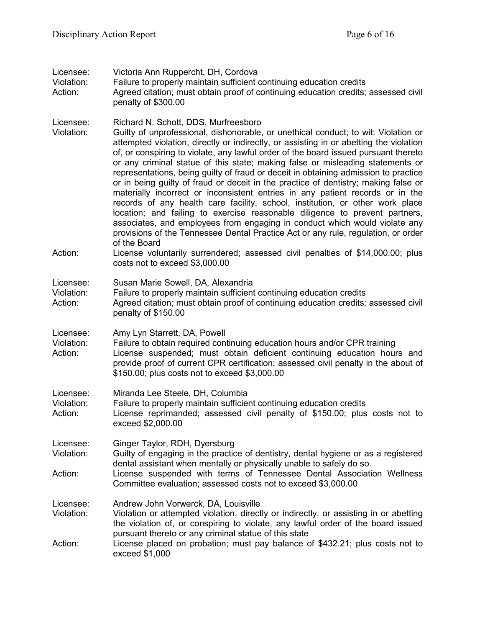| Licensee:<br>Violation:<br>Action: | Victoria Ann Ruppercht, DH, Cordova<br>Failure to properly maintain sufficient continuing education credits<br>Agreed citation; must obtain proof of continuing education credits; assessed civil<br>penalty of \$300.00                                                                                                                                                                                                                                                                                                                                                                                                                                                                                                                                                                                                                                                                                                                                                                                                                                                                                                            |
|------------------------------------|-------------------------------------------------------------------------------------------------------------------------------------------------------------------------------------------------------------------------------------------------------------------------------------------------------------------------------------------------------------------------------------------------------------------------------------------------------------------------------------------------------------------------------------------------------------------------------------------------------------------------------------------------------------------------------------------------------------------------------------------------------------------------------------------------------------------------------------------------------------------------------------------------------------------------------------------------------------------------------------------------------------------------------------------------------------------------------------------------------------------------------------|
| Licensee:<br>Violation:<br>Action: | Richard N. Schott, DDS, Murfreesboro<br>Guilty of unprofessional, dishonorable, or unethical conduct; to wit: Violation or<br>attempted violation, directly or indirectly, or assisting in or abetting the violation<br>of, or conspiring to violate, any lawful order of the board issued pursuant thereto<br>or any criminal statue of this state; making false or misleading statements or<br>representations, being guilty of fraud or deceit in obtaining admission to practice<br>or in being guilty of fraud or deceit in the practice of dentistry; making false or<br>materially incorrect or inconsistent entries in any patient records or in the<br>records of any health care facility, school, institution, or other work place<br>location; and failing to exercise reasonable diligence to prevent partners,<br>associates, and employees from engaging in conduct which would violate any<br>provisions of the Tennessee Dental Practice Act or any rule, regulation, or order<br>of the Board<br>License voluntarily surrendered; assessed civil penalties of \$14,000.00; plus<br>costs not to exceed \$3,000.00 |
| Licensee:<br>Violation:<br>Action: | Susan Marie Sowell, DA, Alexandria<br>Failure to properly maintain sufficient continuing education credits<br>Agreed citation; must obtain proof of continuing education credits; assessed civil<br>penalty of \$150.00                                                                                                                                                                                                                                                                                                                                                                                                                                                                                                                                                                                                                                                                                                                                                                                                                                                                                                             |
| Licensee:<br>Violation:<br>Action: | Amy Lyn Starrett, DA, Powell<br>Failure to obtain required continuing education hours and/or CPR training<br>License suspended; must obtain deficient continuing education hours and<br>provide proof of current CPR certification; assessed civil penalty in the about of<br>\$150.00; plus costs not to exceed \$3,000.00                                                                                                                                                                                                                                                                                                                                                                                                                                                                                                                                                                                                                                                                                                                                                                                                         |
| Licensee:<br>Violation:<br>Action: | Miranda Lee Steele, DH, Columbia<br>Failure to properly maintain sufficient continuing education credits<br>License reprimanded; assessed civil penalty of \$150.00; plus costs not to<br>exceed \$2,000.00                                                                                                                                                                                                                                                                                                                                                                                                                                                                                                                                                                                                                                                                                                                                                                                                                                                                                                                         |
| Licensee:<br>Violation:<br>Action: | Ginger Taylor, RDH, Dyersburg<br>Guilty of engaging in the practice of dentistry, dental hygiene or as a registered<br>dental assistant when mentally or physically unable to safely do so.<br>License suspended with terms of Tennessee Dental Association Wellness<br>Committee evaluation; assessed costs not to exceed \$3,000.00                                                                                                                                                                                                                                                                                                                                                                                                                                                                                                                                                                                                                                                                                                                                                                                               |
| Licensee:<br>Violation:<br>Action: | Andrew John Vorwerck, DA, Louisville<br>Violation or attempted violation, directly or indirectly, or assisting in or abetting<br>the violation of, or conspiring to violate, any lawful order of the board issued<br>pursuant thereto or any criminal statue of this state<br>License placed on probation; must pay balance of \$432.21; plus costs not to<br>exceed \$1,000                                                                                                                                                                                                                                                                                                                                                                                                                                                                                                                                                                                                                                                                                                                                                        |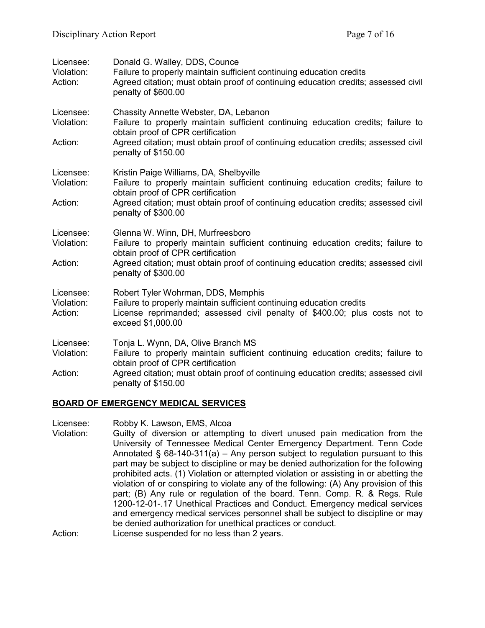| Licensee:<br>Violation:<br>Action: | Donald G. Walley, DDS, Counce<br>Failure to properly maintain sufficient continuing education credits<br>Agreed citation; must obtain proof of continuing education credits; assessed civil<br>penalty of \$600.00                                                            |
|------------------------------------|-------------------------------------------------------------------------------------------------------------------------------------------------------------------------------------------------------------------------------------------------------------------------------|
| Licensee:<br>Violation:<br>Action: | Chassity Annette Webster, DA, Lebanon<br>Failure to properly maintain sufficient continuing education credits; failure to<br>obtain proof of CPR certification<br>Agreed citation; must obtain proof of continuing education credits; assessed civil<br>penalty of \$150.00   |
| Licensee:<br>Violation:<br>Action: | Kristin Paige Williams, DA, Shelbyville<br>Failure to properly maintain sufficient continuing education credits; failure to<br>obtain proof of CPR certification<br>Agreed citation; must obtain proof of continuing education credits; assessed civil<br>penalty of \$300.00 |
| Licensee:<br>Violation:<br>Action: | Glenna W. Winn, DH, Murfreesboro<br>Failure to properly maintain sufficient continuing education credits; failure to<br>obtain proof of CPR certification<br>Agreed citation; must obtain proof of continuing education credits; assessed civil<br>penalty of \$300.00        |
| Licensee:<br>Violation:<br>Action: | Robert Tyler Wohrman, DDS, Memphis<br>Failure to properly maintain sufficient continuing education credits<br>License reprimanded; assessed civil penalty of \$400.00; plus costs not to<br>exceed \$1,000.00                                                                 |
| Licensee:<br>Violation:<br>Action: | Tonja L. Wynn, DA, Olive Branch MS<br>Failure to properly maintain sufficient continuing education credits; failure to<br>obtain proof of CPR certification<br>Agreed citation; must obtain proof of continuing education credits; assessed civil<br>penalty of \$150.00      |

### **BOARD OF EMERGENCY MEDICAL SERVICES**

Licensee: Robby K. Lawson, EMS, Alcoa

Violation: Guilty of diversion or attempting to divert unused pain medication from the University of Tennessee Medical Center Emergency Department. Tenn Code Annotated  $\S$  68-140-311(a) – Any person subject to regulation pursuant to this part may be subject to discipline or may be denied authorization for the following prohibited acts. (1) Violation or attempted violation or assisting in or abetting the violation of or conspiring to violate any of the following: (A) Any provision of this part; (B) Any rule or regulation of the board. Tenn. Comp. R. & Regs. Rule 1200-12-01-.17 Unethical Practices and Conduct. Emergency medical services and emergency medical services personnel shall be subject to discipline or may be denied authorization for unethical practices or conduct. Action: License suspended for no less than 2 years.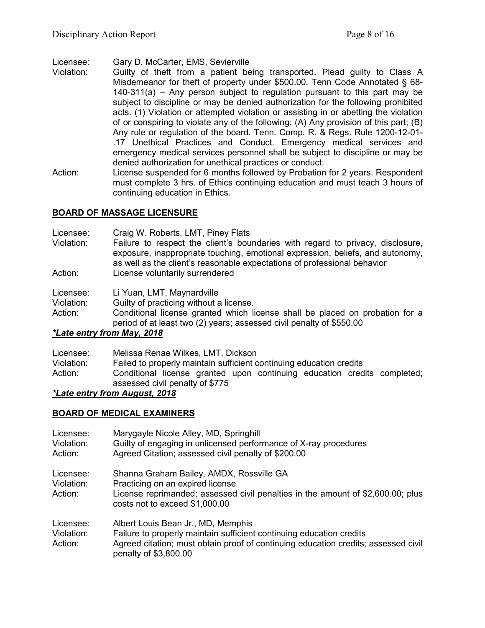Licensee: Gary D. McCarter, EMS, Sevierville

- Violation: Guilty of theft from a patient being transported. Plead guilty to Class A Misdemeanor for theft of property under \$500.00. Tenn Code Annotated § 68- 140-311(a) – Any person subject to regulation pursuant to this part may be subject to discipline or may be denied authorization for the following prohibited acts. (1) Violation or attempted violation or assisting in or abetting the violation of or conspiring to violate any of the following: (A) Any provision of this part; (B) Any rule or regulation of the board. Tenn. Comp. R. & Regs. Rule 1200-12-01- .17 Unethical Practices and Conduct. Emergency medical services and emergency medical services personnel shall be subject to discipline or may be denied authorization for unethical practices or conduct.
- Action: License suspended for 6 months followed by Probation for 2 years. Respondent must complete 3 hrs. of Ethics continuing education and must teach 3 hours of continuing education in Ethics.

# **BOARD OF MASSAGE LICENSURE**

| Failure to respect the client's boundaries with regard to privacy, disclosure,<br>exposure, inappropriate touching, emotional expression, beliefs, and autonomy, |
|------------------------------------------------------------------------------------------------------------------------------------------------------------------|
|                                                                                                                                                                  |
|                                                                                                                                                                  |
|                                                                                                                                                                  |
|                                                                                                                                                                  |

Action: Conditional license granted which license shall be placed on probation for a period of at least two (2) years; assessed civil penalty of \$550.00

## *\*Late entry from May, 2018*

| Licensee:  | Melissa Renae Wilkes, LMT, Dickson                                                                          |
|------------|-------------------------------------------------------------------------------------------------------------|
| Violation: | Failed to properly maintain sufficient continuing education credits                                         |
| Action:    | Conditional license granted upon continuing education credits completed;<br>assessed civil penalty of \$775 |

## *\*Late entry from August, 2018*

## **BOARD OF MEDICAL EXAMINERS**

| Licensee:<br>Violation:<br>Action: | Marygayle Nicole Alley, MD, Springhill<br>Guilty of engaging in unlicensed performance of X-ray procedures<br>Agreed Citation; assessed civil penalty of \$200.00                                                         |
|------------------------------------|---------------------------------------------------------------------------------------------------------------------------------------------------------------------------------------------------------------------------|
| Licensee:<br>Violation:<br>Action: | Shanna Graham Bailey, AMDX, Rossville GA<br>Practicing on an expired license<br>License reprimanded; assessed civil penalties in the amount of \$2,600.00; plus<br>costs not to exceed \$1,000.00                         |
| Licensee:<br>Violation:<br>Action: | Albert Louis Bean Jr., MD, Memphis<br>Failure to properly maintain sufficient continuing education credits<br>Agreed citation; must obtain proof of continuing education credits; assessed civil<br>penalty of \$3,800.00 |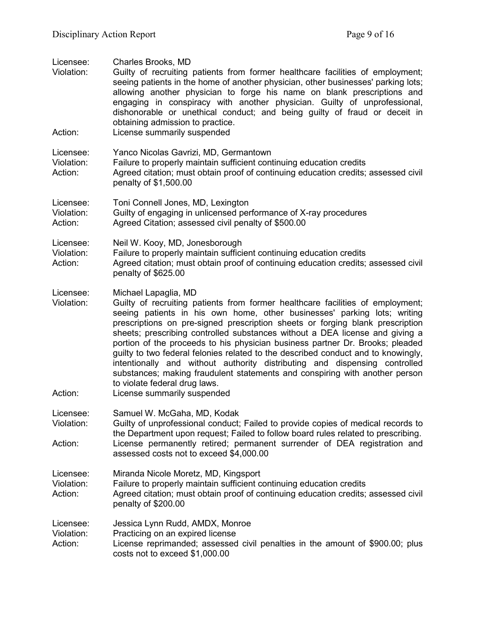| Licensee:<br>Violation:            | Charles Brooks, MD<br>Guilty of recruiting patients from former healthcare facilities of employment;<br>seeing patients in the home of another physician, other businesses' parking lots;<br>allowing another physician to forge his name on blank prescriptions and<br>engaging in conspiracy with another physician. Guilty of unprofessional,<br>dishonorable or unethical conduct; and being guilty of fraud or deceit in<br>obtaining admission to practice.                                                                                                                                                                                                                                                                                      |
|------------------------------------|--------------------------------------------------------------------------------------------------------------------------------------------------------------------------------------------------------------------------------------------------------------------------------------------------------------------------------------------------------------------------------------------------------------------------------------------------------------------------------------------------------------------------------------------------------------------------------------------------------------------------------------------------------------------------------------------------------------------------------------------------------|
| Action:                            | License summarily suspended                                                                                                                                                                                                                                                                                                                                                                                                                                                                                                                                                                                                                                                                                                                            |
| Licensee:<br>Violation:<br>Action: | Yanco Nicolas Gavrizi, MD, Germantown<br>Failure to properly maintain sufficient continuing education credits<br>Agreed citation; must obtain proof of continuing education credits; assessed civil<br>penalty of \$1,500.00                                                                                                                                                                                                                                                                                                                                                                                                                                                                                                                           |
| Licensee:<br>Violation:<br>Action: | Toni Connell Jones, MD, Lexington<br>Guilty of engaging in unlicensed performance of X-ray procedures<br>Agreed Citation; assessed civil penalty of \$500.00                                                                                                                                                                                                                                                                                                                                                                                                                                                                                                                                                                                           |
| Licensee:<br>Violation:<br>Action: | Neil W. Kooy, MD, Jonesborough<br>Failure to properly maintain sufficient continuing education credits<br>Agreed citation; must obtain proof of continuing education credits; assessed civil<br>penalty of \$625.00                                                                                                                                                                                                                                                                                                                                                                                                                                                                                                                                    |
| Licensee:<br>Violation:<br>Action: | Michael Lapaglia, MD<br>Guilty of recruiting patients from former healthcare facilities of employment;<br>seeing patients in his own home, other businesses' parking lots; writing<br>prescriptions on pre-signed prescription sheets or forging blank prescription<br>sheets; prescribing controlled substances without a DEA license and giving a<br>portion of the proceeds to his physician business partner Dr. Brooks; pleaded<br>guilty to two federal felonies related to the described conduct and to knowingly,<br>intentionally and without authority distributing and dispensing controlled<br>substances; making fraudulent statements and conspiring with another person<br>to violate federal drug laws.<br>License summarily suspended |
| Licensee:<br>Violation:            | Samuel W. McGaha, MD, Kodak<br>Guilty of unprofessional conduct; Failed to provide copies of medical records to<br>the Department upon request; Failed to follow board rules related to prescribing.                                                                                                                                                                                                                                                                                                                                                                                                                                                                                                                                                   |
| Action:                            | License permanently retired; permanent surrender of DEA registration and<br>assessed costs not to exceed \$4,000.00                                                                                                                                                                                                                                                                                                                                                                                                                                                                                                                                                                                                                                    |
| Licensee:<br>Violation:<br>Action: | Miranda Nicole Moretz, MD, Kingsport<br>Failure to properly maintain sufficient continuing education credits<br>Agreed citation; must obtain proof of continuing education credits; assessed civil<br>penalty of \$200.00                                                                                                                                                                                                                                                                                                                                                                                                                                                                                                                              |
| Licensee:<br>Violation:<br>Action: | Jessica Lynn Rudd, AMDX, Monroe<br>Practicing on an expired license<br>License reprimanded; assessed civil penalties in the amount of \$900.00; plus<br>costs not to exceed \$1,000.00                                                                                                                                                                                                                                                                                                                                                                                                                                                                                                                                                                 |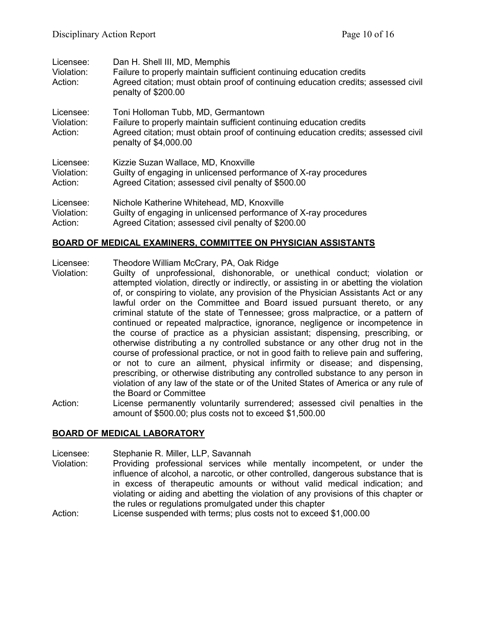| Licensee:<br>Violation:<br>Action: | Dan H. Shell III, MD, Memphis<br>Failure to properly maintain sufficient continuing education credits<br>Agreed citation; must obtain proof of continuing education credits; assessed civil<br>penalty of \$200.00        |
|------------------------------------|---------------------------------------------------------------------------------------------------------------------------------------------------------------------------------------------------------------------------|
| Licensee:<br>Violation:<br>Action: | Toni Holloman Tubb, MD, Germantown<br>Failure to properly maintain sufficient continuing education credits<br>Agreed citation; must obtain proof of continuing education credits; assessed civil<br>penalty of \$4,000.00 |
| Licensee:                          | Kizzie Suzan Wallace, MD, Knoxville                                                                                                                                                                                       |
| Violation:                         | Guilty of engaging in unlicensed performance of X-ray procedures                                                                                                                                                          |
| Action:                            | Agreed Citation; assessed civil penalty of \$500.00                                                                                                                                                                       |
| Licensee:                          | Nichole Katherine Whitehead, MD, Knoxville                                                                                                                                                                                |
| Violation:                         | Guilty of engaging in unlicensed performance of X-ray procedures                                                                                                                                                          |
| Action:                            | Agreed Citation; assessed civil penalty of \$200.00                                                                                                                                                                       |

### **BOARD OF MEDICAL EXAMINERS, COMMITTEE ON PHYSICIAN ASSISTANTS**

Licensee: Theodore William McCrary, PA, Oak Ridge

- Violation: Guilty of unprofessional, dishonorable, or unethical conduct; violation or attempted violation, directly or indirectly, or assisting in or abetting the violation of, or conspiring to violate, any provision of the Physician Assistants Act or any lawful order on the Committee and Board issued pursuant thereto, or any criminal statute of the state of Tennessee; gross malpractice, or a pattern of continued or repeated malpractice, ignorance, negligence or incompetence in the course of practice as a physician assistant; dispensing, prescribing, or otherwise distributing a ny controlled substance or any other drug not in the course of professional practice, or not in good faith to relieve pain and suffering, or not to cure an ailment, physical infirmity or disease; and dispensing, prescribing, or otherwise distributing any controlled substance to any person in violation of any law of the state or of the United States of America or any rule of the Board or Committee
- Action: License permanently voluntarily surrendered; assessed civil penalties in the amount of \$500.00; plus costs not to exceed \$1,500.00

### **BOARD OF MEDICAL LABORATORY**

Licensee: Stephanie R. Miller, LLP, Savannah<br>Violation: Providing professional services w

Providing professional services while mentally incompetent, or under the influence of alcohol, a narcotic, or other controlled, dangerous substance that is in excess of therapeutic amounts or without valid medical indication; and violating or aiding and abetting the violation of any provisions of this chapter or the rules or regulations promulgated under this chapter

Action: License suspended with terms; plus costs not to exceed \$1,000.00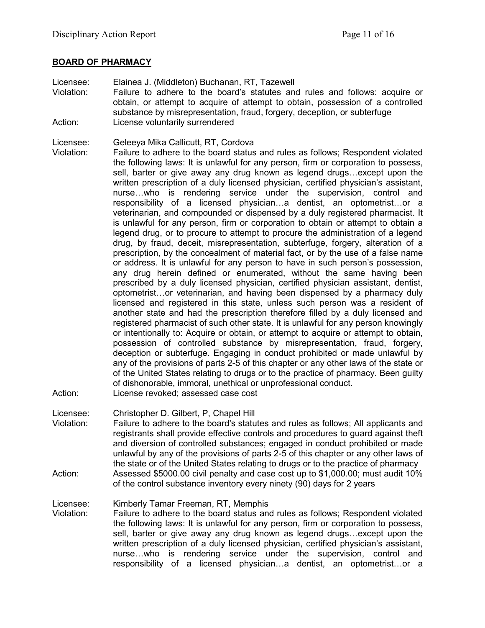#### **BOARD OF PHARMACY**

- Licensee: Elainea J. (Middleton) Buchanan, RT, Tazewell Violation: Failure to adhere to the board's statutes and rules and follows: acquire or obtain, or attempt to acquire of attempt to obtain, possession of a controlled substance by misrepresentation, fraud, forgery, deception, or subterfuge Action: License voluntarily surrendered
- Licensee: Geleeya Mika Callicutt, RT, Cordova
- Violation: Failure to adhere to the board status and rules as follows; Respondent violated the following laws: It is unlawful for any person, firm or corporation to possess, sell, barter or give away any drug known as legend drugs…except upon the written prescription of a duly licensed physician, certified physician's assistant, nurse…who is rendering service under the supervision, control and responsibility of a licensed physician…a dentist, an optometrist…or a veterinarian, and compounded or dispensed by a duly registered pharmacist. It is unlawful for any person, firm or corporation to obtain or attempt to obtain a legend drug, or to procure to attempt to procure the administration of a legend drug, by fraud, deceit, misrepresentation, subterfuge, forgery, alteration of a prescription, by the concealment of material fact, or by the use of a false name or address. It is unlawful for any person to have in such person's possession, any drug herein defined or enumerated, without the same having been prescribed by a duly licensed physician, certified physician assistant, dentist, optometrist…or veterinarian, and having been dispensed by a pharmacy duly licensed and registered in this state, unless such person was a resident of another state and had the prescription therefore filled by a duly licensed and registered pharmacist of such other state. It is unlawful for any person knowingly or intentionally to: Acquire or obtain, or attempt to acquire or attempt to obtain, possession of controlled substance by misrepresentation, fraud, forgery, deception or subterfuge. Engaging in conduct prohibited or made unlawful by any of the provisions of parts 2-5 of this chapter or any other laws of the state or of the United States relating to drugs or to the practice of pharmacy. Been guilty of dishonorable, immoral, unethical or unprofessional conduct. Action: License revoked; assessed case cost

Licensee: Christopher D. Gilbert, P, Chapel Hill

Violation: Failure to adhere to the board's statutes and rules as follows; All applicants and registrants shall provide effective controls and procedures to guard against theft and diversion of controlled substances; engaged in conduct prohibited or made unlawful by any of the provisions of parts 2-5 of this chapter or any other laws of the state or of the United States relating to drugs or to the practice of pharmacy Action: Assessed \$5000.00 civil penalty and case cost up to \$1,000.00; must audit 10% of the control substance inventory every ninety (90) days for 2 years

Licensee: Kimberly Tamar Freeman, RT, Memphis

Violation: Failure to adhere to the board status and rules as follows; Respondent violated the following laws: It is unlawful for any person, firm or corporation to possess, sell, barter or give away any drug known as legend drugs…except upon the written prescription of a duly licensed physician, certified physician's assistant, nurse…who is rendering service under the supervision, control and responsibility of a licensed physician…a dentist, an optometrist…or a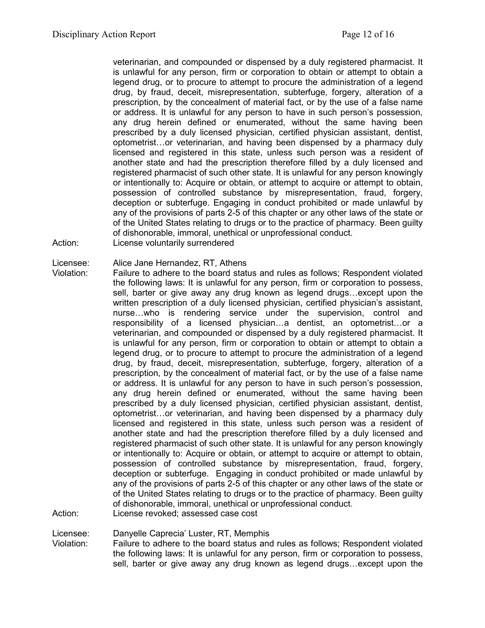veterinarian, and compounded or dispensed by a duly registered pharmacist. It is unlawful for any person, firm or corporation to obtain or attempt to obtain a legend drug, or to procure to attempt to procure the administration of a legend drug, by fraud, deceit, misrepresentation, subterfuge, forgery, alteration of a prescription, by the concealment of material fact, or by the use of a false name or address. It is unlawful for any person to have in such person's possession, any drug herein defined or enumerated, without the same having been prescribed by a duly licensed physician, certified physician assistant, dentist, optometrist…or veterinarian, and having been dispensed by a pharmacy duly licensed and registered in this state, unless such person was a resident of another state and had the prescription therefore filled by a duly licensed and registered pharmacist of such other state. It is unlawful for any person knowingly or intentionally to: Acquire or obtain, or attempt to acquire or attempt to obtain, possession of controlled substance by misrepresentation, fraud, forgery, deception or subterfuge. Engaging in conduct prohibited or made unlawful by any of the provisions of parts 2-5 of this chapter or any other laws of the state or of the United States relating to drugs or to the practice of pharmacy. Been guilty of dishonorable, immoral, unethical or unprofessional conduct.

Action: License voluntarily surrendered

Licensee: Alice Jane Hernandez, RT, Athens

Violation: Failure to adhere to the board status and rules as follows; Respondent violated the following laws: It is unlawful for any person, firm or corporation to possess, sell, barter or give away any drug known as legend drugs…except upon the written prescription of a duly licensed physician, certified physician's assistant, nurse…who is rendering service under the supervision, control and responsibility of a licensed physician…a dentist, an optometrist…or a veterinarian, and compounded or dispensed by a duly registered pharmacist. It is unlawful for any person, firm or corporation to obtain or attempt to obtain a legend drug, or to procure to attempt to procure the administration of a legend drug, by fraud, deceit, misrepresentation, subterfuge, forgery, alteration of a prescription, by the concealment of material fact, or by the use of a false name or address. It is unlawful for any person to have in such person's possession, any drug herein defined or enumerated, without the same having been prescribed by a duly licensed physician, certified physician assistant, dentist, optometrist…or veterinarian, and having been dispensed by a pharmacy duly licensed and registered in this state, unless such person was a resident of another state and had the prescription therefore filled by a duly licensed and registered pharmacist of such other state. It is unlawful for any person knowingly or intentionally to: Acquire or obtain, or attempt to acquire or attempt to obtain, possession of controlled substance by misrepresentation, fraud, forgery, deception or subterfuge. Engaging in conduct prohibited or made unlawful by any of the provisions of parts 2-5 of this chapter or any other laws of the state or of the United States relating to drugs or to the practice of pharmacy. Been guilty of dishonorable, immoral, unethical or unprofessional conduct.

Action: License revoked; assessed case cost

Licensee: Danyelle Caprecia' Luster, RT, Memphis

Violation: Failure to adhere to the board status and rules as follows; Respondent violated the following laws: It is unlawful for any person, firm or corporation to possess, sell, barter or give away any drug known as legend drugs…except upon the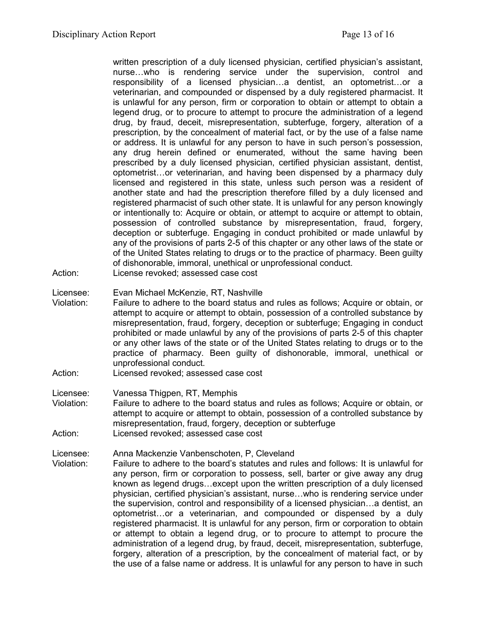written prescription of a duly licensed physician, certified physician's assistant, nurse…who is rendering service under the supervision, control and responsibility of a licensed physician…a dentist, an optometrist…or a veterinarian, and compounded or dispensed by a duly registered pharmacist. It is unlawful for any person, firm or corporation to obtain or attempt to obtain a legend drug, or to procure to attempt to procure the administration of a legend drug, by fraud, deceit, misrepresentation, subterfuge, forgery, alteration of a prescription, by the concealment of material fact, or by the use of a false name or address. It is unlawful for any person to have in such person's possession, any drug herein defined or enumerated, without the same having been prescribed by a duly licensed physician, certified physician assistant, dentist, optometrist…or veterinarian, and having been dispensed by a pharmacy duly licensed and registered in this state, unless such person was a resident of another state and had the prescription therefore filled by a duly licensed and registered pharmacist of such other state. It is unlawful for any person knowingly or intentionally to: Acquire or obtain, or attempt to acquire or attempt to obtain, possession of controlled substance by misrepresentation, fraud, forgery, deception or subterfuge. Engaging in conduct prohibited or made unlawful by any of the provisions of parts 2-5 of this chapter or any other laws of the state or of the United States relating to drugs or to the practice of pharmacy. Been guilty of dishonorable, immoral, unethical or unprofessional conduct.

Action: License revoked; assessed case cost

Licensee: Evan Michael McKenzie, RT, Nashville

- Violation: Failure to adhere to the board status and rules as follows; Acquire or obtain, or attempt to acquire or attempt to obtain, possession of a controlled substance by misrepresentation, fraud, forgery, deception or subterfuge; Engaging in conduct prohibited or made unlawful by any of the provisions of parts 2-5 of this chapter or any other laws of the state or of the United States relating to drugs or to the practice of pharmacy. Been guilty of dishonorable, immoral, unethical or unprofessional conduct.
- Action: Licensed revoked; assessed case cost

Licensee: Vanessa Thigpen, RT, Memphis

Violation: Failure to adhere to the board status and rules as follows; Acquire or obtain, or attempt to acquire or attempt to obtain, possession of a controlled substance by misrepresentation, fraud, forgery, deception or subterfuge Action: Licensed revoked; assessed case cost

Licensee: Anna Mackenzie Vanbenschoten, P, Cleveland<br>Violation: Failure to adhere to the board's statutes and ru

Failure to adhere to the board's statutes and rules and follows: It is unlawful for any person, firm or corporation to possess, sell, barter or give away any drug known as legend drugs…except upon the written prescription of a duly licensed physician, certified physician's assistant, nurse…who is rendering service under the supervision, control and responsibility of a licensed physician…a dentist, an optometrist…or a veterinarian, and compounded or dispensed by a duly registered pharmacist. It is unlawful for any person, firm or corporation to obtain or attempt to obtain a legend drug, or to procure to attempt to procure the administration of a legend drug, by fraud, deceit, misrepresentation, subterfuge, forgery, alteration of a prescription, by the concealment of material fact, or by the use of a false name or address. It is unlawful for any person to have in such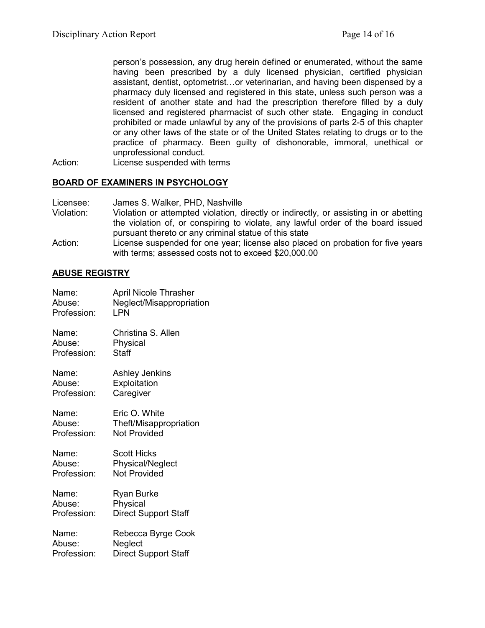person's possession, any drug herein defined or enumerated, without the same having been prescribed by a duly licensed physician, certified physician assistant, dentist, optometrist…or veterinarian, and having been dispensed by a pharmacy duly licensed and registered in this state, unless such person was a resident of another state and had the prescription therefore filled by a duly licensed and registered pharmacist of such other state. Engaging in conduct prohibited or made unlawful by any of the provisions of parts 2-5 of this chapter or any other laws of the state or of the United States relating to drugs or to the practice of pharmacy. Been guilty of dishonorable, immoral, unethical or unprofessional conduct.

Action: License suspended with terms

### **BOARD OF EXAMINERS IN PSYCHOLOGY**

- Licensee: James S. Walker, PHD, Nashville
- Violation: Violation or attempted violation, directly or indirectly, or assisting in or abetting the violation of, or conspiring to violate, any lawful order of the board issued pursuant thereto or any criminal statue of this state
- Action: License suspended for one year; license also placed on probation for five years with terms; assessed costs not to exceed \$20,000.00

## **ABUSE REGISTRY**

| Name:       | <b>April Nicole Thrasher</b> |
|-------------|------------------------------|
| Abuse:      | Neglect/Misappropriation     |
| Profession: | LPN                          |
| Name:       | Christina S. Allen           |
| Abuse:      | Physical                     |
| Profession: | <b>Staff</b>                 |
| Name:       | Ashley Jenkins               |
| Abuse:      | Exploitation                 |
| Profession: | Caregiver                    |
| Name:       | Eric O. White                |
| Abuse:      | Theft/Misappropriation       |
| Profession: | <b>Not Provided</b>          |
| Name:       | <b>Scott Hicks</b>           |
| Abuse:      | <b>Physical/Neglect</b>      |
| Profession: | <b>Not Provided</b>          |
| Name:       | Ryan Burke                   |
| Abuse:      | Physical                     |
| Profession: | <b>Direct Support Staff</b>  |
| Name:       | Rebecca Byrge Cook           |
| Abuse:      | Neglect                      |
| Profession: | <b>Direct Support Staff</b>  |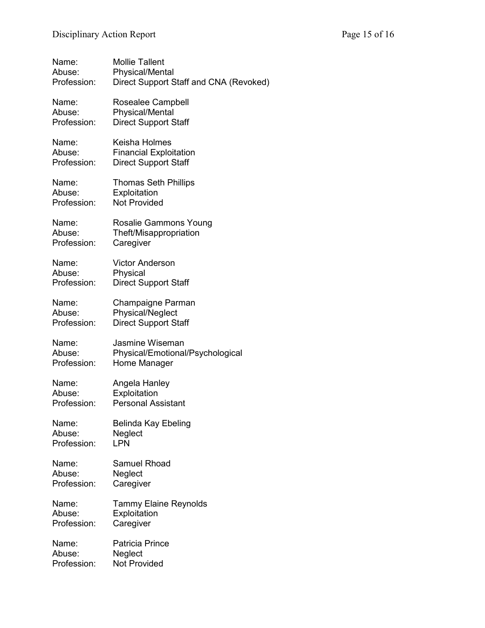| Name:       | <b>Mollie Tallent</b>                  |
|-------------|----------------------------------------|
| Abuse:      | <b>Physical/Mental</b>                 |
| Profession: | Direct Support Staff and CNA (Revoked) |
| Name:       | Rosealee Campbell                      |
| Abuse:      | <b>Physical/Mental</b>                 |
| Profession: | <b>Direct Support Staff</b>            |
| Name:       | Keisha Holmes                          |
| Abuse:      | <b>Financial Exploitation</b>          |
| Profession: | <b>Direct Support Staff</b>            |
| Name:       | <b>Thomas Seth Phillips</b>            |
| Abuse:      | Exploitation                           |
| Profession: | <b>Not Provided</b>                    |
| Name:       | Rosalie Gammons Young                  |
| Abuse:      | Theft/Misappropriation                 |
| Profession: | Caregiver                              |
| Name:       | <b>Victor Anderson</b>                 |
| Abuse:      | Physical                               |
| Profession: | <b>Direct Support Staff</b>            |
| Name:       | Champaigne Parman                      |
| Abuse:      | Physical/Neglect                       |
| Profession: | <b>Direct Support Staff</b>            |
| Name:       | Jasmine Wiseman                        |
| Abuse:      | Physical/Emotional/Psychological       |
| Profession: | Home Manager                           |
| Name:       | Angela Hanley                          |
| Abuse:      | Exploitation                           |
| Profession: | <b>Personal Assistant</b>              |
| Name:       | Belinda Kay Ebeling                    |
| Abuse:      | Neglect                                |
| Profession: | LPN                                    |
| Name:       | <b>Samuel Rhoad</b>                    |
| Abuse:      | Neglect                                |
| Profession: | Caregiver                              |
| Name:       | <b>Tammy Elaine Reynolds</b>           |
| Abuse:      | Exploitation                           |
| Profession: | Caregiver                              |
| Name:       | <b>Patricia Prince</b>                 |
| Abuse:      | Neglect                                |
| Profession: | <b>Not Provided</b>                    |